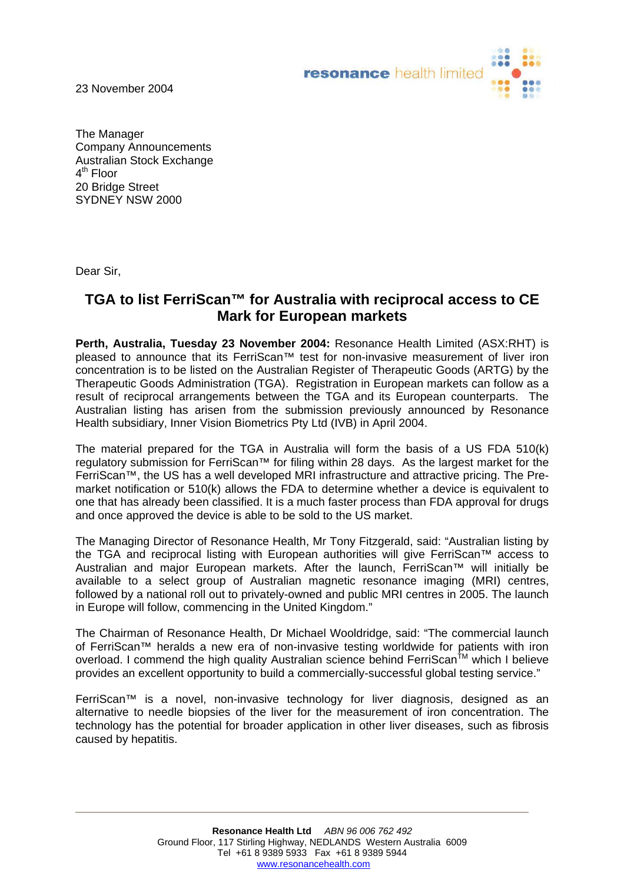23 November 2004



The Manager Company Announcements Australian Stock Exchange 4<sup>th</sup> Floor 20 Bridge Street SYDNEY NSW 2000

Dear Sir,

## **TGA to list FerriScan™ for Australia with reciprocal access to CE Mark for European markets**

**Perth, Australia, Tuesday 23 November 2004:** Resonance Health Limited (ASX:RHT) is pleased to announce that its FerriScan™ test for non-invasive measurement of liver iron concentration is to be listed on the Australian Register of Therapeutic Goods (ARTG) by the Therapeutic Goods Administration (TGA). Registration in European markets can follow as a result of reciprocal arrangements between the TGA and its European counterparts. The Australian listing has arisen from the submission previously announced by Resonance Health subsidiary, Inner Vision Biometrics Pty Ltd (IVB) in April 2004.

The material prepared for the TGA in Australia will form the basis of a US FDA 510(k) regulatory submission for FerriScan™ for filing within 28 days. As the largest market for the FerriScan™, the US has a well developed MRI infrastructure and attractive pricing. The Premarket notification or 510(k) allows the FDA to determine whether a device is equivalent to one that has already been classified. It is a much faster process than FDA approval for drugs and once approved the device is able to be sold to the US market.

The Managing Director of Resonance Health, Mr Tony Fitzgerald, said: "Australian listing by the TGA and reciprocal listing with European authorities will give FerriScan™ access to Australian and major European markets. After the launch, FerriScan™ will initially be available to a select group of Australian magnetic resonance imaging (MRI) centres, followed by a national roll out to privately-owned and public MRI centres in 2005. The launch in Europe will follow, commencing in the United Kingdom."

The Chairman of Resonance Health, Dr Michael Wooldridge, said: "The commercial launch of FerriScan™ heralds a new era of non-invasive testing worldwide for patients with iron overload. I commend the high quality Australian science behind FerriScan<sup>TM</sup> which I believe provides an excellent opportunity to build a commercially-successful global testing service."

FerriScan™ is a novel, non-invasive technology for liver diagnosis, designed as an alternative to needle biopsies of the liver for the measurement of iron concentration. The technology has the potential for broader application in other liver diseases, such as fibrosis caused by hepatitis.